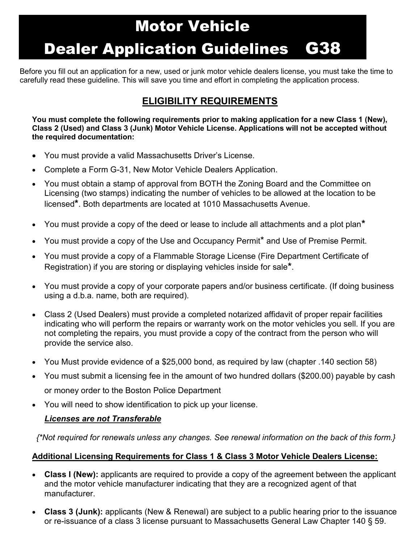## Motor Vehicle

# Dealer Application Guidelines G38

Before you fill out an application for a new, used or junk motor vehicle dealers license, you must take the time to carefully read these guideline. This will save you time and effort in completing the application process.

### **ELIGIBILITY REQUIREMENTS**

**You must complete the following requirements prior to making application for a new Class 1 (New), Class 2 (Used) and Class 3 (Junk) Motor Vehicle License. Applications will not be accepted without the required documentation:**

- You must provide a valid Massachusetts Driver's License.
- Complete a Form G-31, New Motor Vehicle Dealers Application.
- You must obtain a stamp of approval from BOTH the Zoning Board and the Committee on Licensing (two stamps) indicating the number of vehicles to be allowed at the location to be licensed**\***. Both departments are located at 1010 Massachusetts Avenue.
- You must provide a copy of the deed or lease to include all attachments and a plot plan**\***
- You must provide a copy of the Use and Occupancy Permit<sup>\*</sup> and Use of Premise Permit.
- You must provide a copy of a Flammable Storage License (Fire Department Certificate of Registration) if you are storing or displaying vehicles inside for sale**\***.
- You must provide a copy of your corporate papers and/or business certificate. (If doing business using a d.b.a. name, both are required).
- Class 2 (Used Dealers) must provide a completed notarized affidavit of proper repair facilities indicating who will perform the repairs or warranty work on the motor vehicles you sell. If you are not completing the repairs, you must provide a copy of the contract from the person who will provide the service also.
- You Must provide evidence of a \$25,000 bond, as required by law (chapter .140 section 58)
- You must submit a licensing fee in the amount of two hundred dollars (\$200.00) payable by cash or money order to the Boston Police Department
- You will need to show identification to pick up your license.

#### *Licenses are not Transferable*

*{\*Not required for renewals unless any changes. See renewal information on the back of this form.}*

#### **Additional Licensing Requirements for Class 1 & Class 3 Motor Vehicle Dealers License:**

- **Class I (New):** applicants are required to provide a copy of the agreement between the applicant and the motor vehicle manufacturer indicating that they are a recognized agent of that manufacturer.
- **Class 3 (Junk):** applicants (New & Renewal) are subject to a public hearing prior to the issuance or re-issuance of a class 3 license pursuant to Massachusetts General Law Chapter 140 § 59.